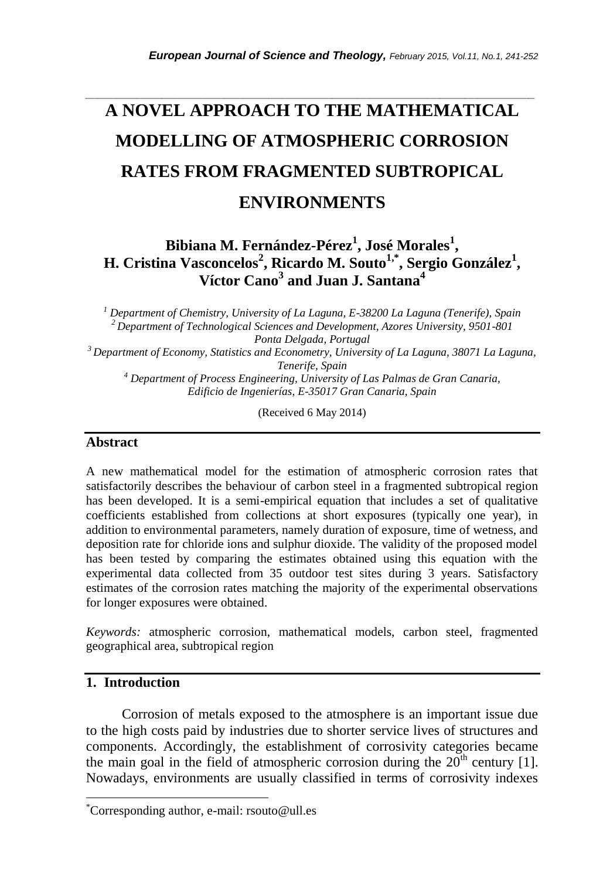# **A NOVEL APPROACH TO THE MATHEMATICAL MODELLING OF ATMOSPHERIC CORROSION RATES FROM FRAGMENTED SUBTROPICAL ENVIRONMENTS**

*\_\_\_\_\_\_\_\_\_\_\_\_\_\_\_\_\_\_\_\_\_\_\_\_\_\_\_\_\_\_\_\_\_\_\_\_\_\_\_\_\_\_\_\_\_\_\_\_\_\_\_\_\_\_\_\_\_\_\_\_\_\_\_\_\_\_\_\_\_\_\_*

# **Bibiana M. Fernández-Pérez<sup>1</sup> , José Morales<sup>1</sup> , H. Cristina Vasconcelos<sup>2</sup> , Ricardo M. Souto1,\* , Sergio González<sup>1</sup> , Víctor Cano<sup>3</sup> and Juan J. Santana<sup>4</sup>**

*<sup>1</sup> Department of Chemistry, University of La Laguna, E-38200 La Laguna (Tenerife), Spain <sup>2</sup> Department of Technological Sciences and Development, Azores University, 9501-801 Ponta Delgada, Portugal*

*<sup>3</sup>Department of Economy, Statistics and Econometry, University of La Laguna, 38071 La Laguna, Tenerife, Spain*

*<sup>4</sup> Department of Process Engineering, University of Las Palmas de Gran Canaria, Edificio de Ingenierías, E-35017 Gran Canaria, Spain*

(Received 6 May 2014)

#### **Abstract**

A new mathematical model for the estimation of atmospheric corrosion rates that satisfactorily describes the behaviour of carbon steel in a fragmented subtropical region has been developed. It is a semi-empirical equation that includes a set of qualitative coefficients established from collections at short exposures (typically one year), in addition to environmental parameters, namely duration of exposure, time of wetness, and deposition rate for chloride ions and sulphur dioxide. The validity of the proposed model has been tested by comparing the estimates obtained using this equation with the experimental data collected from 35 outdoor test sites during 3 years. Satisfactory estimates of the corrosion rates matching the majority of the experimental observations for longer exposures were obtained.

*Keywords:* atmospheric corrosion, mathematical models, carbon steel, fragmented geographical area, subtropical region

## **1. Introduction**

l

Corrosion of metals exposed to the atmosphere is an important issue due to the high costs paid by industries due to shorter service lives of structures and components. Accordingly, the establishment of corrosivity categories became the main goal in the field of atmospheric corrosion during the  $20<sup>th</sup>$  century [1]. Nowadays, environments are usually classified in terms of corrosivity indexes

<sup>\*</sup>Corresponding author, e-mail: rsouto@ull.es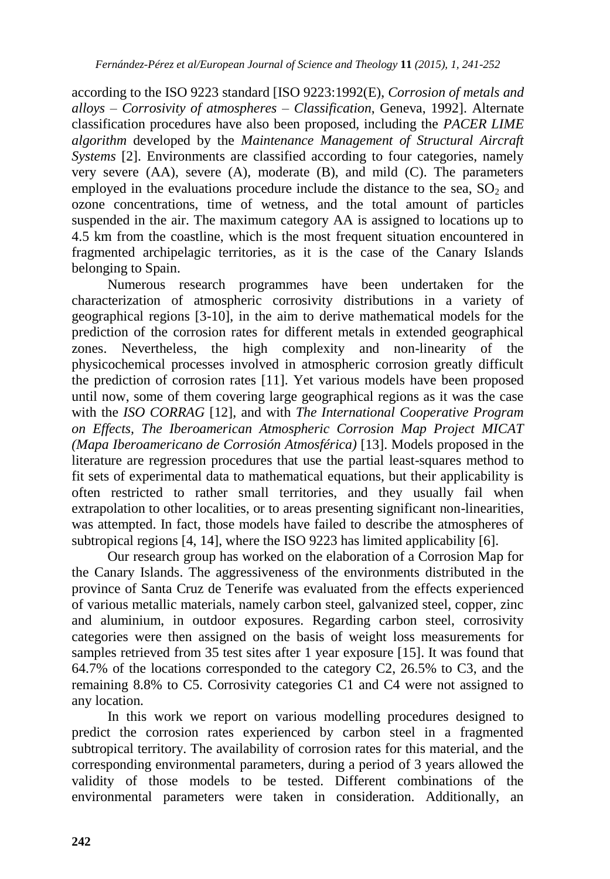according to the ISO 9223 standard [ISO 9223:1992(E), *Corrosion of metals and alloys – Corrosivity of atmospheres – Classification*, Geneva, 1992]. Alternate classification procedures have also been proposed, including the *PACER LIME algorithm* developed by the *Maintenance Management of Structural Aircraft Systems* [2]. Environments are classified according to four categories, namely very severe (AA), severe (A), moderate (B), and mild (C). The parameters employed in the evaluations procedure include the distance to the sea,  $SO<sub>2</sub>$  and ozone concentrations, time of wetness, and the total amount of particles suspended in the air. The maximum category AA is assigned to locations up to 4.5 km from the coastline, which is the most frequent situation encountered in fragmented archipelagic territories, as it is the case of the Canary Islands belonging to Spain.

Numerous research programmes have been undertaken for the characterization of atmospheric corrosivity distributions in a variety of geographical regions [3-10], in the aim to derive mathematical models for the prediction of the corrosion rates for different metals in extended geographical zones. Nevertheless, the high complexity and non-linearity of the physicochemical processes involved in atmospheric corrosion greatly difficult the prediction of corrosion rates [11]. Yet various models have been proposed until now, some of them covering large geographical regions as it was the case with the *ISO CORRAG* [12], and with *The International Cooperative Program on Effects, The Iberoamerican Atmospheric Corrosion Map Project MICAT (Mapa Iberoamericano de Corrosión Atmosférica)* [13]. Models proposed in the literature are regression procedures that use the partial least-squares method to fit sets of experimental data to mathematical equations, but their applicability is often restricted to rather small territories, and they usually fail when extrapolation to other localities, or to areas presenting significant non-linearities, was attempted. In fact, those models have failed to describe the atmospheres of subtropical regions [4, 14], where the ISO 9223 has limited applicability [6].

Our research group has worked on the elaboration of a Corrosion Map for the Canary Islands. The aggressiveness of the environments distributed in the province of Santa Cruz de Tenerife was evaluated from the effects experienced of various metallic materials, namely carbon steel, galvanized steel, copper, zinc and aluminium, in outdoor exposures. Regarding carbon steel, corrosivity categories were then assigned on the basis of weight loss measurements for samples retrieved from 35 test sites after 1 year exposure [15]. It was found that 64.7% of the locations corresponded to the category C2, 26.5% to C3, and the remaining 8.8% to C5. Corrosivity categories C1 and C4 were not assigned to any location.

In this work we report on various modelling procedures designed to predict the corrosion rates experienced by carbon steel in a fragmented subtropical territory. The availability of corrosion rates for this material, and the corresponding environmental parameters, during a period of 3 years allowed the validity of those models to be tested. Different combinations of the environmental parameters were taken in consideration. Additionally, an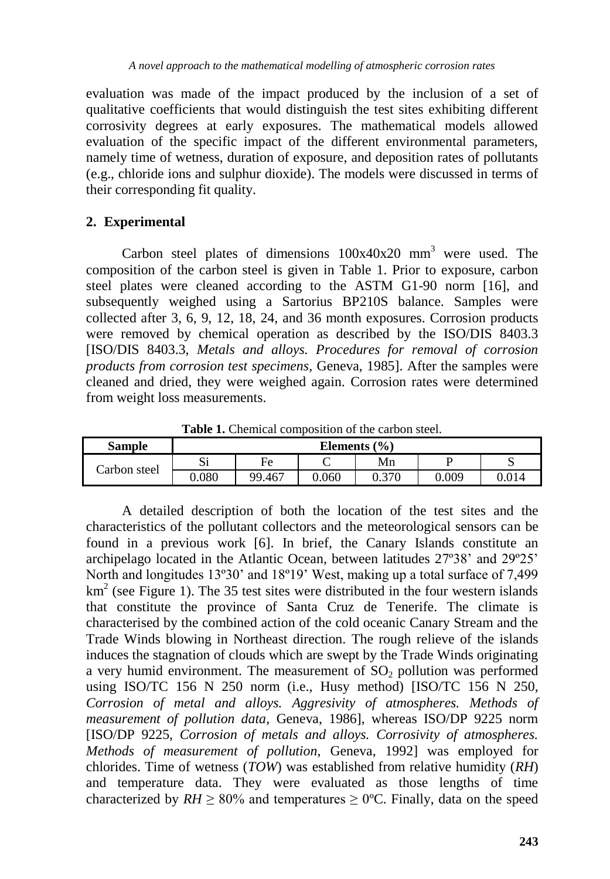evaluation was made of the impact produced by the inclusion of a set of qualitative coefficients that would distinguish the test sites exhibiting different corrosivity degrees at early exposures. The mathematical models allowed evaluation of the specific impact of the different environmental parameters, namely time of wetness, duration of exposure, and deposition rates of pollutants (e.g., chloride ions and sulphur dioxide). The models were discussed in terms of their corresponding fit quality.

## **2. Experimental**

Carbon steel plates of dimensions  $100x40x20$  mm<sup>3</sup> were used. The composition of the carbon steel is given in Table 1. Prior to exposure, carbon steel plates were cleaned according to the ASTM G1-90 norm [16], and subsequently weighed using a Sartorius BP210S balance. Samples were collected after 3, 6, 9, 12, 18, 24, and 36 month exposures. Corrosion products were removed by chemical operation as described by the ISO/DIS 8403.3 [ISO/DIS 8403.3, *Metals and alloys. Procedures for removal of corrosion products from corrosion test specimens*, Geneva, 1985]. After the samples were cleaned and dried, they were weighed again. Corrosion rates were determined from weight loss measurements.

| Sample       | Elements (%) |        |       |       |       |       |  |  |  |
|--------------|--------------|--------|-------|-------|-------|-------|--|--|--|
| Carbon steel | ື            | Fe     |       | Mn    |       |       |  |  |  |
|              | 0.080        | 99.467 | 0.060 | 0.370 | 0.009 | 0.014 |  |  |  |

Table 1. Chemical composition of the carbon steel

A detailed description of both the location of the test sites and the characteristics of the pollutant collectors and the meteorological sensors can be found in a previous work [6]. In brief, the Canary Islands constitute an archipelago located in the Atlantic Ocean, between latitudes 27º38' and 29º25' North and longitudes 13º30' and 18º19' West, making up a total surface of 7,499  $km<sup>2</sup>$  (see Figure 1). The 35 test sites were distributed in the four western islands that constitute the province of Santa Cruz de Tenerife. The climate is characterised by the combined action of the cold oceanic Canary Stream and the Trade Winds blowing in Northeast direction. The rough relieve of the islands induces the stagnation of clouds which are swept by the Trade Winds originating a very humid environment. The measurement of  $SO<sub>2</sub>$  pollution was performed using ISO/TC 156 N 250 norm (i.e., Husy method) [ISO/TC 156 N 250, *Corrosion of metal and alloys. Aggresivity of atmospheres. Methods of measurement of pollution data*, Geneva, 1986], whereas ISO/DP 9225 norm [ISO/DP 9225, *Corrosion of metals and alloys. Corrosivity of atmospheres. Methods of measurement of pollution*, Geneva, 1992] was employed for chlorides. Time of wetness (*TOW*) was established from relative humidity (*RH*) and temperature data. They were evaluated as those lengths of time characterized by  $RH \ge 80\%$  and temperatures  $\ge 0\degree$ C. Finally, data on the speed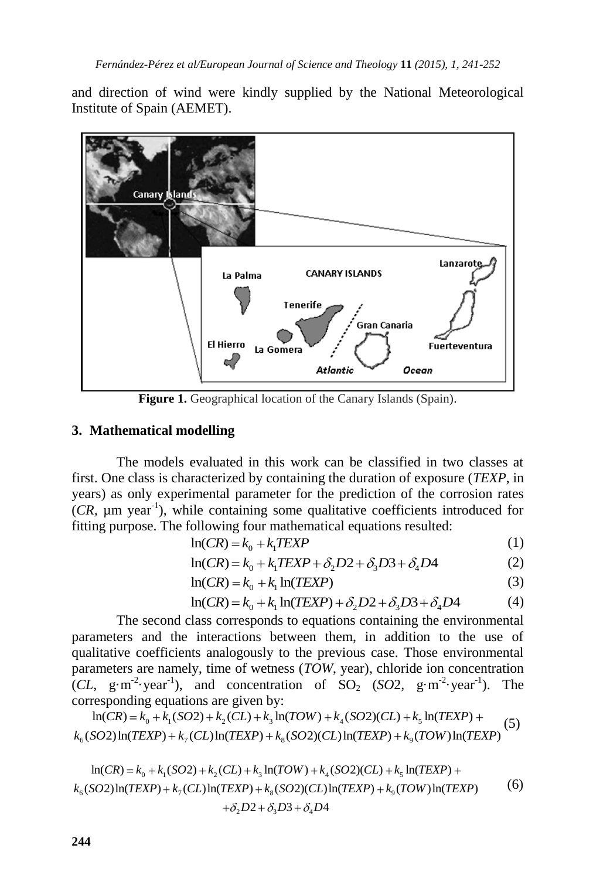and direction of wind were kindly supplied by the National Meteorological Institute of Spain (AEMET).



**Figure 1.** Geographical location of the Canary Islands (Spain).

## **3. Mathematical modelling**

The models evaluated in this work can be classified in two classes at first. One class is characterized by containing the duration of exposure (*TEXP*, in years) as only experimental parameter for the prediction of the corrosion rates  $(CR, \mu m \text{ year}^{-1})$ , while containing some qualitative coefficients introduced for fitting purpose. The following four mathematical equations resulted:

$$
\ln(CR) = k_0 + k_1 TEXP \tag{1}
$$

$$
\ln(CR) = k_0 + k_1 TEXP
$$
  
\n
$$
\ln(CR) = k_0 + k_1 TEXP + \delta_2 D2 + \delta_3 D3 + \delta_4 D4
$$
\n(1)

$$
\ln(CR) = k_0 + k_1 \ln(TEXP)
$$
\n(3)  
\n
$$
\ln(CR) = k_0 + k_1 \ln(TEXP) + \delta_2 D2 + \delta_3 D3 + \delta_4 D4
$$
\n(4)

$$
\ln(CR) = k_0 + k_1 \ln(TEXP) + \delta_2 D2 + \delta_3 D3 + \delta_4 D4
$$
 (4)

The second class corresponds to equations containing the environmental parameters and the interactions between them, in addition to the use of qualitative coefficients analogously to the previous case. Those environmental parameters are namely, time of wetness (*TOW*, year), chloride ion concentration  $(CL, g·m<sup>-2</sup>·year<sup>-1</sup>)$ , and concentration of SO<sub>2</sub> (*SO*2, g·m<sup>-2</sup>·year<sup>-1</sup>). The ameters are namely, time of wetness (*TOW*, year), chloride ion conc<br> *c*, g·m<sup>-2</sup>·year<sup>-1</sup>), and concentration of SO<sub>2</sub> (*SO*2, g·m<sup>-2</sup>·year<br>
responding equations are given by:<br>  $\ln(CR) = k_0 + k_1(SO2) + k_2(CL) + k_3 \ln(TOW) + k_4(SO2)($ 

$$
\text{corresponding equations are given by:} \quad \ln(CR) = k_0 + k_1(SO2) + k_2(CL) + k_3 \ln(TOW) + k_4(SO2)(CL) + k_5 \ln(TEXP) + k_6(SO2) \ln(TEXP) + k_7(CL) \ln(TEXP) + k_8(SO2)(CL) \ln(TEXP) + k_9(TOW) \ln(TEXP)
$$

$$
k_6(SO2)\ln(TEXP) + k_7(CL)\ln(TEXP) + k_8(SO2)(CL)\ln(TEXP) + k_9(TOW)\ln(TEXP)
$$
  
\n
$$
\ln(CR) = k_0 + k_1(SO2) + k_2(CL) + k_3\ln(TOW) + k_4(SO2)(CL) + k_5\ln(TEXP) + k_6(SO2)\ln(TEXP) + k_7(CL)\ln(TEXP) + k_8(SO2)(CL)\ln(TEXP) + k_9(TOW)\ln(TEXP)
$$
 (6)  
\n
$$
+ \delta_2 D2 + \delta_3 D3 + \delta_4 D4
$$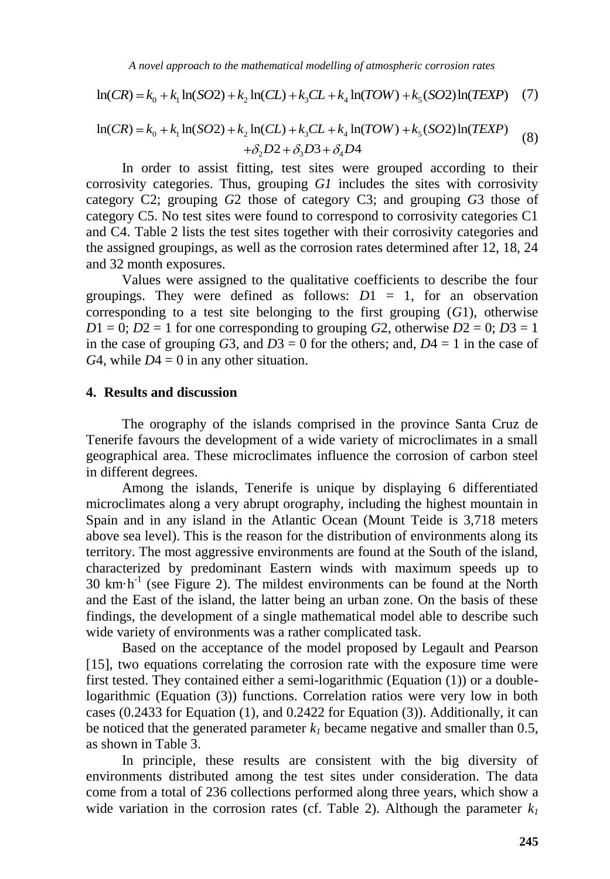$$
\ln(CR) = k_0 + k_1 \ln(SO2) + k_2 \ln(CL) + k_3 CL + k_4 \ln(TOW) + k_5 (SO2) \ln(TEXP)
$$
 (7)

$$
\ln(CR) = k_0 + k_1 \ln(SO2) + k_2 \ln(CL) + k_3 CL + k_4 \ln(TOW) + k_5 (SO2) \ln(TEXP)
$$
 (7)  
\n
$$
\ln(CR) = k_0 + k_1 \ln(SO2) + k_2 \ln(CL) + k_3 CL + k_4 \ln(TOW) + k_5 (SO2) \ln(TEXP)
$$
  
\n
$$
+ \delta_2 D2 + \delta_3 D3 + \delta_4 D4
$$
\nIn order to see this, we may proved according to this

In order to assist fitting, test sites were grouped according to their corrosivity categories. Thus, grouping *G1* includes the sites with corrosivity category C2; grouping *G*2 those of category C3; and grouping *G*3 those of category C5. No test sites were found to correspond to corrosivity categories C1 and C4. Table 2 lists the test sites together with their corrosivity categories and the assigned groupings, as well as the corrosion rates determined after 12, 18, 24 and 32 month exposures.

Values were assigned to the qualitative coefficients to describe the four groupings. They were defined as follows: *D*1 = 1, for an observation corresponding to a test site belonging to the first grouping (*G*1), otherwise  $D1 = 0$ ;  $D2 = 1$  for one corresponding to grouping *G*2, otherwise  $D2 = 0$ ;  $D3 = 1$ in the case of grouping  $G3$ , and  $D3 = 0$  for the others; and,  $D4 = 1$  in the case of *G*4, while  $D4 = 0$  in any other situation.

#### **4. Results and discussion**

The orography of the islands comprised in the province Santa Cruz de Tenerife favours the development of a wide variety of microclimates in a small geographical area. These microclimates influence the corrosion of carbon steel in different degrees.

*A novel approach to the numbenatical moddling of ameagheric corrosion case*<br>  $\ln(G/N) = k_0 + k_1 \ln(S/2) + k_2 \ln(C/1) + k_c(T + k_4) \ln(TOW) + k_c(S/2) \ln(T/2XP)$  (2)<br>  $\ln(G/N) = k_0 + k_1 \ln(S/2) + k_1 \ln(CL) + k_c(L + k_4) \ln(TOW) + k_c(S/2) \ln(T/2XP)$  (8)<br>  $\ln G$  order Among the islands, Tenerife is unique by displaying 6 differentiated microclimates along a very abrupt orography, including the highest mountain in Spain and in any island in the Atlantic Ocean (Mount Teide is 3,718 meters above sea level). This is the reason for the distribution of environments along its territory. The most aggressive environments are found at the South of the island, characterized by predominant Eastern winds with maximum speeds up to  $30 \text{ km} \cdot \text{h}^{-1}$  (see Figure 2). The mildest environments can be found at the North and the East of the island, the latter being an urban zone. On the basis of these findings, the development of a single mathematical model able to describe such wide variety of environments was a rather complicated task.

Based on the acceptance of the model proposed by Legault and Pearson [15], two equations correlating the corrosion rate with the exposure time were first tested. They contained either a semi-logarithmic (Equation (1)) or a doublelogarithmic (Equation (3)) functions. Correlation ratios were very low in both cases (0.2433 for Equation (1), and 0.2422 for Equation (3)). Additionally, it can be noticed that the generated parameter  $k_l$  became negative and smaller than 0.5, as shown in Table 3.

In principle, these results are consistent with the big diversity of environments distributed among the test sites under consideration. The data come from a total of 236 collections performed along three years, which show a wide variation in the corrosion rates (cf. Table 2). Although the parameter  $k_l$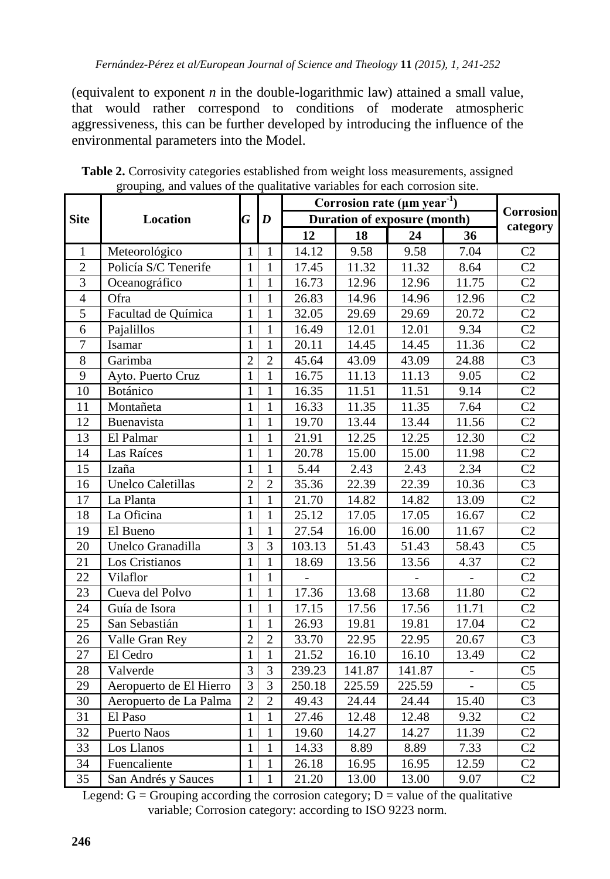(equivalent to exponent *n* in the double-logarithmic law) attained a small value, that would rather correspond to conditions of moderate atmospheric aggressiveness, this can be further developed by introducing the influence of the environmental parameters into the Model.

|                 | <b>Location</b>          |                | $\boldsymbol{D}$ | Corrosion rate ( $\mu$ m year <sup>-1</sup> ) |        |        |       | Corrosion<br>category |
|-----------------|--------------------------|----------------|------------------|-----------------------------------------------|--------|--------|-------|-----------------------|
| <b>Site</b>     |                          |                |                  | <b>Duration of exposure (month)</b>           |        |        |       |                       |
|                 |                          |                |                  | 12                                            | 18     | 24     | 36    |                       |
| 1               | Meteorológico            | 1              | 1                | 14.12                                         | 9.58   | 9.58   | 7.04  | C2                    |
| $\overline{2}$  | Policía S/C Tenerife     | 1              | 1                | 17.45                                         | 11.32  | 11.32  | 8.64  | C <sub>2</sub>        |
| 3               | Oceanográfico            | 1              | 1                | 16.73                                         | 12.96  | 12.96  | 11.75 | C2                    |
| $\overline{4}$  | Ofra                     | $\mathbf{1}$   | 1                | 26.83                                         | 14.96  | 14.96  | 12.96 | C <sub>2</sub>        |
| 5               | Facultad de Química      | $\mathbf{1}$   | 1                | 32.05                                         | 29.69  | 29.69  | 20.72 | C2                    |
| 6               | Pajalillos               | $\mathbf{1}$   | $\mathbf{1}$     | 16.49                                         | 12.01  | 12.01  | 9.34  | C <sub>2</sub>        |
| $\overline{7}$  | Isamar                   | $\mathbf{1}$   | $\mathbf{1}$     | 20.11                                         | 14.45  | 14.45  | 11.36 | $\overline{C2}$       |
| $\overline{8}$  | Garimba                  | $\overline{2}$ | $\overline{2}$   | 45.64                                         | 43.09  | 43.09  | 24.88 | $\overline{C3}$       |
| $\overline{9}$  | Ayto. Puerto Cruz        | $\overline{1}$ | $\mathbf{1}$     | 16.75                                         | 11.13  | 11.13  | 9.05  | $\overline{C2}$       |
| 10              | Botánico                 | $\mathbf{1}$   | $\mathbf{1}$     | 16.35                                         | 11.51  | 11.51  | 9.14  | $\overline{C2}$       |
| 11              | Montañeta                | $\mathbf{1}$   | $\mathbf{1}$     | 16.33                                         | 11.35  | 11.35  | 7.64  | $\overline{C2}$       |
| 12              | Buenavista               | $\mathbf{1}$   | $\mathbf{1}$     | 19.70                                         | 13.44  | 13.44  | 11.56 | $\overline{C2}$       |
| 13              | El Palmar                | $\mathbf{1}$   | $\mathbf{1}$     | 21.91                                         | 12.25  | 12.25  | 12.30 | $\overline{C2}$       |
| 14              | Las Raíces               | $\mathbf{1}$   | $\mathbf{1}$     | 20.78                                         | 15.00  | 15.00  | 11.98 | $\overline{C2}$       |
| 15              | Izaña                    | $\mathbf{1}$   | $\mathbf{1}$     | 5.44                                          | 2.43   | 2.43   | 2.34  | $\overline{C2}$       |
| 16              | <b>Unelco Caletillas</b> | $\overline{2}$ | $\overline{2}$   | 35.36                                         | 22.39  | 22.39  | 10.36 | C <sub>3</sub>        |
| 17              | La Planta                | 1              | $\mathbf{1}$     | 21.70                                         | 14.82  | 14.82  | 13.09 | C <sub>2</sub>        |
| 18              | La Oficina               | 1              | $\mathbf 1$      | 25.12                                         | 17.05  | 17.05  | 16.67 | C <sub>2</sub>        |
| 19              | El Bueno                 | $\mathbf{1}$   | $\mathbf{1}$     | 27.54                                         | 16.00  | 16.00  | 11.67 | $\overline{C2}$       |
| 20              | Unelco Granadilla        | 3              | 3                | 103.13                                        | 51.43  | 51.43  | 58.43 | C <sub>5</sub>        |
| 21              | Los Cristianos           | 1              | $\mathbf{1}$     | 18.69                                         | 13.56  | 13.56  | 4.37  | $\overline{C2}$       |
| 22              | Vilaflor                 | 1              | $\mathbf 1$      |                                               |        |        |       | $\overline{C2}$       |
| 23              | Cueva del Polvo          | 1              | 1                | 17.36                                         | 13.68  | 13.68  | 11.80 | C <sub>2</sub>        |
| 24              | Guía de Isora            | $\mathbf{1}$   | $\mathbf{1}$     | 17.15                                         | 17.56  | 17.56  | 11.71 | $\overline{C2}$       |
| 25              | San Sebastián            | $\mathbf{1}$   | $\mathbf{1}$     | 26.93                                         | 19.81  | 19.81  | 17.04 | C <sub>2</sub>        |
| 26              | Valle Gran Rey           | $\overline{2}$ | $\overline{2}$   | 33.70                                         | 22.95  | 22.95  | 20.67 | C <sub>3</sub>        |
| 27              | El Cedro                 | $\mathbf{1}$   | $\mathbf{1}$     | 21.52                                         | 16.10  | 16.10  | 13.49 | $\overline{C2}$       |
| 28              | Valverde                 | $\overline{3}$ | 3                | 239.23                                        | 141.87 | 141.87 | ÷,    | C <sub>5</sub>        |
| 29              | Aeropuerto de El Hierro  | $\overline{3}$ | $\overline{3}$   | 250.18                                        | 225.59 | 225.59 |       | $\overline{C5}$       |
| 30              | Aeropuerto de La Palma   | $\overline{2}$ | $\overline{2}$   | 49.43                                         | 24.44  | 24.44  | 15.40 | $\overline{C}3$       |
| 31              | El Paso                  | $\mathbf{1}$   | $\mathbf{1}$     | 27.46                                         | 12.48  | 12.48  | 9.32  | $\overline{C2}$       |
| 32              | Puerto Naos              | $\mathbf{1}$   | $\mathbf{1}$     | 19.60                                         | 14.27  | 14.27  | 11.39 | $\overline{C2}$       |
| 33              | Los Llanos               | $\mathbf{1}$   | $\mathbf{1}$     | 14.33                                         | 8.89   | 8.89   | 7.33  | C <sub>2</sub>        |
| 34              | Fuencaliente             | $\mathbf{1}$   | $\mathbf{1}$     | 26.18                                         | 16.95  | 16.95  | 12.59 | $\overline{C2}$       |
| $\overline{35}$ | San Andrés y Sauces      | $\overline{1}$ | $\overline{1}$   | 21.20                                         | 13.00  | 13.00  | 9.07  | $\overline{C2}$       |

**Table 2.** Corrosivity categories established from weight loss measurements, assigned grouping, and values of the qualitative variables for each corrosion site.

Legend:  $G =$  Grouping according the corrosion category;  $D =$  value of the qualitative variable; Corrosion category: according to ISO 9223 norm.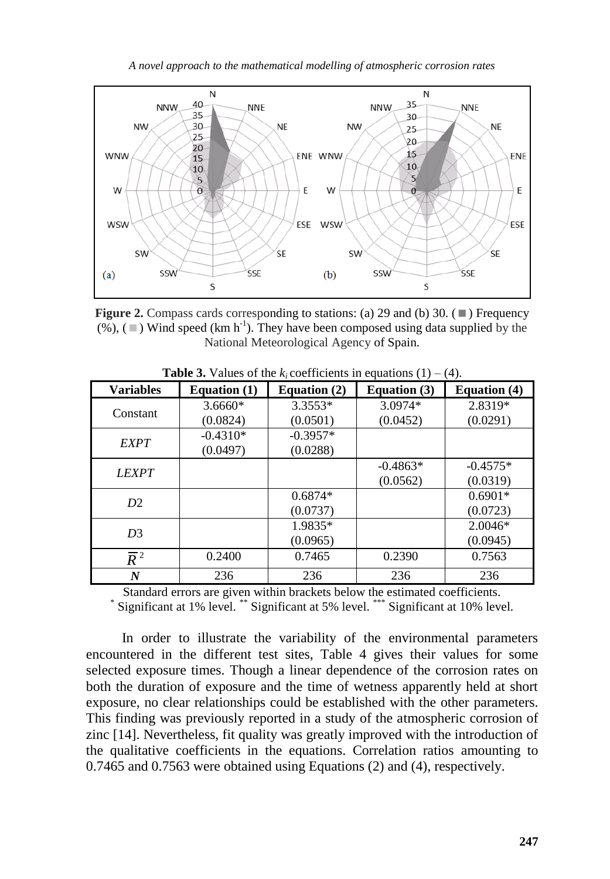*A novel approach to the mathematical modelling of atmospheric corrosion rates* 



**Figure 2.** Compass cards corresponding to stations: (a) 29 and (b) 30.  $(\blacksquare)$  Frequency  $(\%)$ , ( $\blacksquare$ ) Wind speed (km h<sup>-1</sup>). They have been composed using data supplied by the National Meteorological Agency of Spain.

| <b>Variables</b> | Equation $(1)$ | Equation $(2)$ | <b>Equation (3)</b> | <b>Equation</b> (4) |
|------------------|----------------|----------------|---------------------|---------------------|
| Constant         | $3.6660*$      | $3.3553*$      | $3.0974*$           | 2.8319*             |
|                  | (0.0824)       | (0.0501)       | (0.0452)            | (0.0291)            |
| <b>EXPT</b>      | $-0.4310*$     | $-0.3957*$     |                     |                     |
|                  | (0.0497)       | (0.0288)       |                     |                     |
| <b>LEXPT</b>     |                |                | $-0.4863*$          | $-0.4575*$          |
|                  |                |                | (0.0562)            | (0.0319)            |
| D <sub>2</sub>   |                | $0.6874*$      |                     | $0.6901*$           |
|                  |                | (0.0737)       |                     | (0.0723)            |
| D <sub>3</sub>   |                | 1.9835*        |                     | $2.0046*$           |
|                  |                | (0.0965)       |                     | (0.0945)            |
| $\overline{R}^2$ | 0.2400         | 0.7465         | 0.2390              | 0.7563              |
| N                | 236            | 236            | 236                 | 236                 |

**Table 3.** Values of the  $k_i$  coefficients in equations (1) – (4).

Standard errors are given within brackets below the estimated coefficients. \*

Significant at 1% level. \*\* Significant at 5% level. \*\*\* Significant at 10% level.

In order to illustrate the variability of the environmental parameters encountered in the different test sites, Table 4 gives their values for some selected exposure times. Though a linear dependence of the corrosion rates on both the duration of exposure and the time of wetness apparently held at short exposure, no clear relationships could be established with the other parameters. This finding was previously reported in a study of the atmospheric corrosion of zinc [14]. Nevertheless, fit quality was greatly improved with the introduction of the qualitative coefficients in the equations. Correlation ratios amounting to 0.7465 and 0.7563 were obtained using Equations (2) and (4), respectively.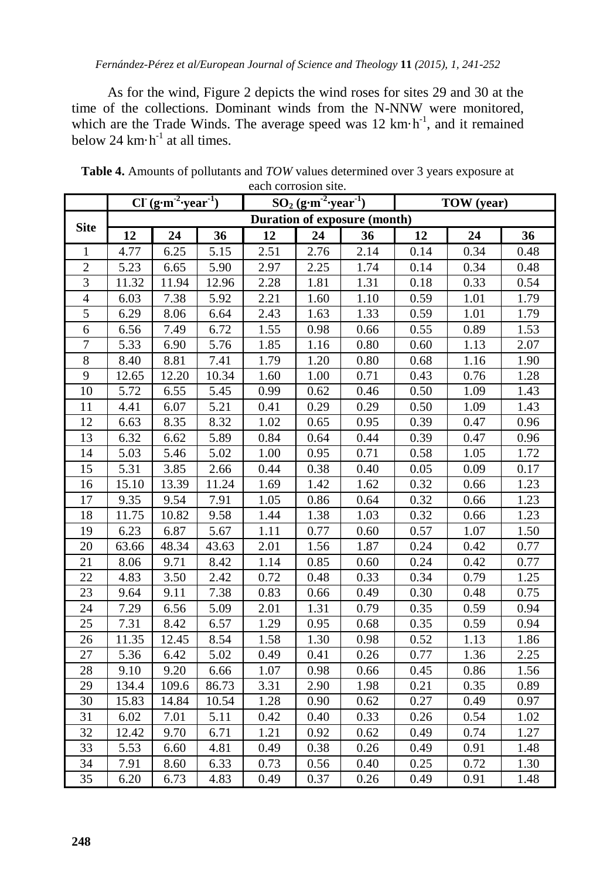As for the wind, Figure 2 depicts the wind roses for sites 29 and 30 at the time of the collections. Dominant winds from the N-NNW were monitored, which are the Trade Winds. The average speed was  $12 \text{ km} \cdot \text{h}^{-1}$ , and it remained below 24  $km \cdot h^{-1}$  at all times.

|                 | $Cl (g·m-2·year-1)$ |       |       | $SO_2$ (g·m <sup>-2</sup> ·year <sup>-1</sup> ) |                                     |      | TOW (year) |      |      |
|-----------------|---------------------|-------|-------|-------------------------------------------------|-------------------------------------|------|------------|------|------|
| <b>Site</b>     |                     |       |       |                                                 | <b>Duration of exposure (month)</b> |      |            |      |      |
|                 | 12                  | 24    | 36    | 12                                              | 24                                  | 36   | 12         | 24   | 36   |
| 1               | 4.77                | 6.25  | 5.15  | 2.51                                            | 2.76                                | 2.14 | 0.14       | 0.34 | 0.48 |
| $\overline{2}$  | 5.23                | 6.65  | 5.90  | 2.97                                            | 2.25                                | 1.74 | 0.14       | 0.34 | 0.48 |
| $\overline{3}$  | 11.32               | 11.94 | 12.96 | 2.28                                            | 1.81                                | 1.31 | 0.18       | 0.33 | 0.54 |
| $\overline{4}$  | 6.03                | 7.38  | 5.92  | 2.21                                            | 1.60                                | 1.10 | 0.59       | 1.01 | 1.79 |
| 5               | 6.29                | 8.06  | 6.64  | 2.43                                            | 1.63                                | 1.33 | 0.59       | 1.01 | 1.79 |
| $\overline{6}$  | 6.56                | 7.49  | 6.72  | 1.55                                            | 0.98                                | 0.66 | 0.55       | 0.89 | 1.53 |
| $\overline{7}$  | 5.33                | 6.90  | 5.76  | 1.85                                            | 1.16                                | 0.80 | 0.60       | 1.13 | 2.07 |
| $\overline{8}$  | 8.40                | 8.81  | 7.41  | 1.79                                            | 1.20                                | 0.80 | 0.68       | 1.16 | 1.90 |
| 9               | 12.65               | 12.20 | 10.34 | 1.60                                            | 1.00                                | 0.71 | 0.43       | 0.76 | 1.28 |
| 10              | 5.72                | 6.55  | 5.45  | 0.99                                            | 0.62                                | 0.46 | 0.50       | 1.09 | 1.43 |
| 11              | 4.41                | 6.07  | 5.21  | 0.41                                            | 0.29                                | 0.29 | 0.50       | 1.09 | 1.43 |
| 12              | 6.63                | 8.35  | 8.32  | 1.02                                            | 0.65                                | 0.95 | 0.39       | 0.47 | 0.96 |
| 13              | 6.32                | 6.62  | 5.89  | 0.84                                            | 0.64                                | 0.44 | 0.39       | 0.47 | 0.96 |
| 14              | 5.03                | 5.46  | 5.02  | 1.00                                            | 0.95                                | 0.71 | 0.58       | 1.05 | 1.72 |
| 15              | 5.31                | 3.85  | 2.66  | 0.44                                            | 0.38                                | 0.40 | 0.05       | 0.09 | 0.17 |
| 16              | 15.10               | 13.39 | 11.24 | 1.69                                            | 1.42                                | 1.62 | 0.32       | 0.66 | 1.23 |
| 17              | 9.35                | 9.54  | 7.91  | 1.05                                            | 0.86                                | 0.64 | 0.32       | 0.66 | 1.23 |
| 18              | 11.75               | 10.82 | 9.58  | 1.44                                            | 1.38                                | 1.03 | 0.32       | 0.66 | 1.23 |
| 19              | 6.23                | 6.87  | 5.67  | 1.11                                            | 0.77                                | 0.60 | 0.57       | 1.07 | 1.50 |
| 20              | 63.66               | 48.34 | 43.63 | 2.01                                            | 1.56                                | 1.87 | 0.24       | 0.42 | 0.77 |
| 21              | 8.06                | 9.71  | 8.42  | 1.14                                            | 0.85                                | 0.60 | 0.24       | 0.42 | 0.77 |
| 22              | 4.83                | 3.50  | 2.42  | 0.72                                            | 0.48                                | 0.33 | 0.34       | 0.79 | 1.25 |
| 23              | 9.64                | 9.11  | 7.38  | 0.83                                            | 0.66                                | 0.49 | 0.30       | 0.48 | 0.75 |
| 24              | 7.29                | 6.56  | 5.09  | 2.01                                            | 1.31                                | 0.79 | 0.35       | 0.59 | 0.94 |
| $\overline{25}$ | 7.31                | 8.42  | 6.57  | 1.29                                            | 0.95                                | 0.68 | 0.35       | 0.59 | 0.94 |
| 26              | 11.35               | 12.45 | 8.54  | 1.58                                            | 1.30                                | 0.98 | 0.52       | 1.13 | 1.86 |
| 27              | 5.36                | 6.42  | 5.02  | 0.49                                            | 0.41                                | 0.26 | 0.77       | 1.36 | 2.25 |
| 28              | 9.10                | 9.20  | 6.66  | 1.07                                            | 0.98                                | 0.66 | 0.45       | 0.86 | 1.56 |
| 29              | 134.4               | 109.6 | 86.73 | 3.31                                            | 2.90                                | 1.98 | 0.21       | 0.35 | 0.89 |
| 30              | 15.83               | 14.84 | 10.54 | 1.28                                            | 0.90                                | 0.62 | 0.27       | 0.49 | 0.97 |
| 31              | 6.02                | 7.01  | 5.11  | 0.42                                            | 0.40                                | 0.33 | 0.26       | 0.54 | 1.02 |
| $\overline{32}$ | 12.42               | 9.70  | 6.71  | 1.21                                            | 0.92                                | 0.62 | 0.49       | 0.74 | 1.27 |
| 33              | 5.53                | 6.60  | 4.81  | 0.49                                            | 0.38                                | 0.26 | 0.49       | 0.91 | 1.48 |
| 34              | 7.91                | 8.60  | 6.33  | 0.73                                            | 0.56                                | 0.40 | 0.25       | 0.72 | 1.30 |
| 35              | 6.20                | 6.73  | 4.83  | 0.49                                            | 0.37                                | 0.26 | 0.49       | 0.91 | 1.48 |

**Table 4.** Amounts of pollutants and *TOW* values determined over 3 years exposure at each corrosion site.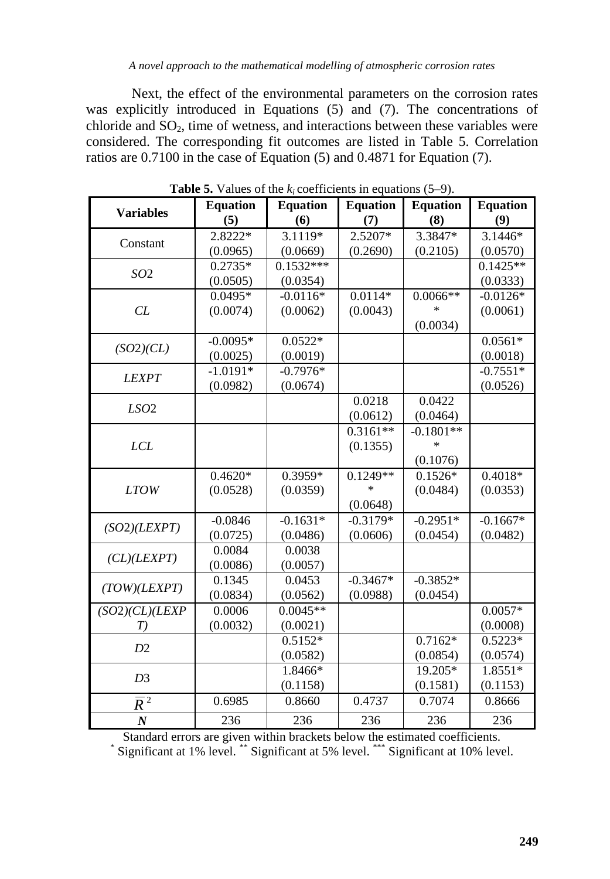Next, the effect of the environmental parameters on the corrosion rates was explicitly introduced in Equations (5) and (7). The concentrations of chloride and  $SO<sub>2</sub>$ , time of wetness, and interactions between these variables were considered. The corresponding fit outcomes are listed in Table 5. Correlation ratios are 0.7100 in the case of Equation (5) and 0.4871 for Equation (7).

| <b>Variables</b> | <b>Equation</b> | <b>Equation</b> | <b>Equation</b> | <b>Equation</b> | <b>Equation</b> |
|------------------|-----------------|-----------------|-----------------|-----------------|-----------------|
|                  | (5)             | (6)             | (7)             | (8)             | (9)             |
| Constant         | 2.8222*         | 3.1119*         | $2.5207*$       | 3.3847*         | 3.1446*         |
|                  | (0.0965)        | (0.0669)        | (0.2690)        | (0.2105)        | (0.0570)        |
| SO <sub>2</sub>  | $0.2735*$       | $0.1532***$     |                 |                 | $0.1425**$      |
|                  | (0.0505)        | (0.0354)        |                 |                 | (0.0333)        |
|                  | $0.0495*$       | $-0.0116*$      | $0.0114*$       | $0.0066**$      | $-0.0126*$      |
| CL               | (0.0074)        | (0.0062)        | (0.0043)        | *               | (0.0061)        |
|                  |                 |                 |                 | (0.0034)        |                 |
| (SO2)(CL)        | $-0.0095*$      | $0.0522*$       |                 |                 | $0.0561*$       |
|                  | (0.0025)        | (0.0019)        |                 |                 | (0.0018)        |
| <b>LEXPT</b>     | $-1.0191*$      | $-0.7976*$      |                 |                 | $-0.7551*$      |
|                  | (0.0982)        | (0.0674)        |                 |                 | (0.0526)        |
| LSO <sub>2</sub> |                 |                 | 0.0218          | 0.0422          |                 |
|                  |                 |                 | (0.0612)        | (0.0464)        |                 |
|                  |                 |                 | $0.3161**$      | $-0.1801**$     |                 |
| <b>LCL</b>       |                 |                 | (0.1355)        | $\ast$          |                 |
|                  |                 |                 |                 | (0.1076)        |                 |
|                  | $0.4620*$       | $0.3959*$       | $0.1249**$      | $0.1526*$       | $0.4018*$       |
| <b>LTOW</b>      | (0.0528)        | (0.0359)        | $\ast$          | (0.0484)        | (0.0353)        |
|                  |                 |                 | (0.0648)        |                 |                 |
| (SO2)(LEXPT)     | $-0.0846$       | $-0.1631*$      | $-0.3179*$      | $-0.2951*$      | $-0.1667*$      |
|                  | (0.0725)        | (0.0486)        | (0.0606)        | (0.0454)        | (0.0482)        |
| CL)(LEXPT)       | 0.0084          | 0.0038          |                 |                 |                 |
|                  | (0.0086)        | (0.0057)        |                 |                 |                 |
| (TOW)(LEXPT)     | 0.1345          | 0.0453          | $-0.3467*$      | $-0.3852*$      |                 |
|                  | (0.0834)        | (0.0562)        | (0.0988)        | (0.0454)        |                 |
| (SO2)(CL)(LEXP   | 0.0006          | $0.0045**$      |                 |                 | $0.0057*$       |
| T)               | (0.0032)        | (0.0021)        |                 |                 | (0.0008)        |
| D2               |                 | $0.5152*$       |                 | $0.7162*$       | $0.5223*$       |
|                  |                 | (0.0582)        |                 | (0.0854)        | (0.0574)        |
| D <sub>3</sub>   |                 | 1.8466*         |                 | 19.205*         | 1.8551*         |
|                  |                 | (0.1158)        |                 | (0.1581)        | (0.1153)        |
| $\overline{R}^2$ | 0.6985          | 0.8660          | 0.4737          | 0.7074          | 0.8666          |
| $\boldsymbol{N}$ | 236             | 236             | 236             | 236             | 236             |

**Table 5.** Values of the  $k_i$  coefficients in equations (5–9).

Standard errors are given within brackets below the estimated coefficients. \* Significant at 1% level. \*\* Significant at 5% level. \*\*\* Significant at 10% level.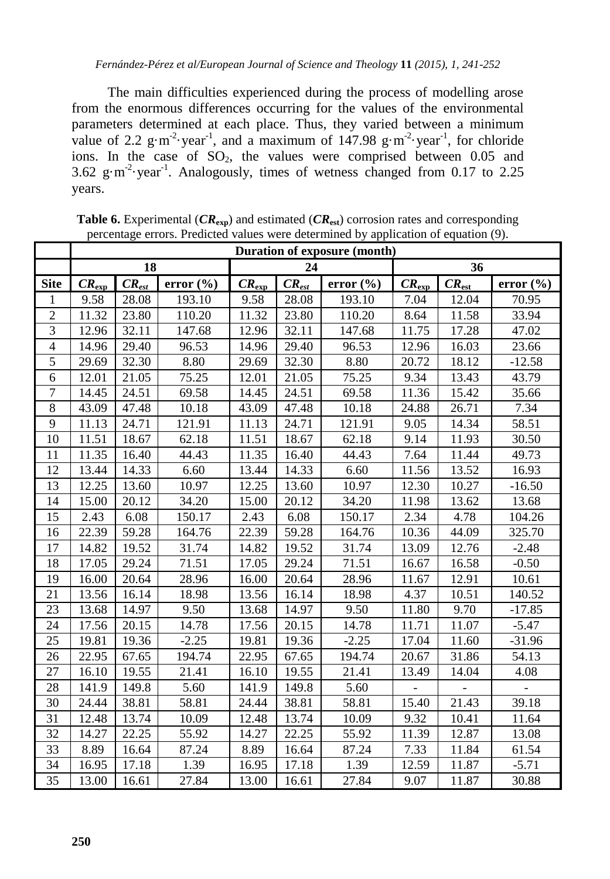The main difficulties experienced during the process of modelling arose from the enormous differences occurring for the values of the environmental parameters determined at each place. Thus, they varied between a minimum value of 2.2  $g \cdot m^{-2}$  year<sup>-1</sup>, and a maximum of 147.98  $g \cdot m^{-2}$  year<sup>-1</sup>, for chloride ions. In the case of  $SO_2$ , the values were comprised between 0.05 and 3.62  $g \cdot m^{-2}$  year<sup>-1</sup>. Analogously, times of wetness changed from 0.17 to 2.25 years.

|                          | Duration of exposure (month)  |            |               |                               |            |               |                   |            |               |
|--------------------------|-------------------------------|------------|---------------|-------------------------------|------------|---------------|-------------------|------------|---------------|
|                          |                               | 18         |               | 24                            |            |               | 36                |            |               |
| <b>Site</b>              | $CR_{\underline{\text{exp}}}$ | $CR_{est}$ | error $(\% )$ | $CR_{\underline{\text{exp}}}$ | $CR_{est}$ | error $(\% )$ | $CR_{\text{exp}}$ | $CR_{est}$ | error $(\% )$ |
| 1                        | 9.58                          | 28.08      | 193.10        | 9.58                          | 28.08      | 193.10        | 7.04              | 12.04      | 70.95         |
| $\overline{2}$           | 11.32                         | 23.80      | 110.20        | 11.32                         | 23.80      | 110.20        | 8.64              | 11.58      | 33.94         |
| $\overline{3}$           | 12.96                         | 32.11      | 147.68        | 12.96                         | 32.11      | 147.68        | 11.75             | 17.28      | 47.02         |
| $\overline{\mathcal{L}}$ | 14.96                         | 29.40      | 96.53         | 14.96                         | 29.40      | 96.53         | 12.96             | 16.03      | 23.66         |
| 5                        | 29.69                         | 32.30      | 8.80          | 29.69                         | 32.30      | 8.80          | 20.72             | 18.12      | $-12.58$      |
| 6                        | 12.01                         | 21.05      | 75.25         | 12.01                         | 21.05      | 75.25         | 9.34              | 13.43      | 43.79         |
| $\overline{7}$           | 14.45                         | 24.51      | 69.58         | 14.45                         | 24.51      | 69.58         | 11.36             | 15.42      | 35.66         |
| 8                        | 43.09                         | 47.48      | 10.18         | 43.09                         | 47.48      | 10.18         | 24.88             | 26.71      | 7.34          |
| 9                        | 11.13                         | 24.71      | 121.91        | 11.13                         | 24.71      | 121.91        | 9.05              | 14.34      | 58.51         |
| 10                       | 11.51                         | 18.67      | 62.18         | 11.51                         | 18.67      | 62.18         | 9.14              | 11.93      | 30.50         |
| 11                       | 11.35                         | 16.40      | 44.43         | 11.35                         | 16.40      | 44.43         | 7.64              | 11.44      | 49.73         |
| 12                       | 13.44                         | 14.33      | 6.60          | 13.44                         | 14.33      | 6.60          | 11.56             | 13.52      | 16.93         |
| 13                       | 12.25                         | 13.60      | 10.97         | 12.25                         | 13.60      | 10.97         | 12.30             | 10.27      | $-16.50$      |
| 14                       | 15.00                         | 20.12      | 34.20         | 15.00                         | 20.12      | 34.20         | 11.98             | 13.62      | 13.68         |
| 15                       | 2.43                          | 6.08       | 150.17        | 2.43                          | 6.08       | 150.17        | 2.34              | 4.78       | 104.26        |
| 16                       | 22.39                         | 59.28      | 164.76        | 22.39                         | 59.28      | 164.76        | 10.36             | 44.09      | 325.70        |
| 17                       | 14.82                         | 19.52      | 31.74         | 14.82                         | 19.52      | 31.74         | 13.09             | 12.76      | $-2.48$       |
| 18                       | 17.05                         | 29.24      | 71.51         | 17.05                         | 29.24      | 71.51         | 16.67             | 16.58      | $-0.50$       |
| 19                       | 16.00                         | 20.64      | 28.96         | 16.00                         | 20.64      | 28.96         | 11.67             | 12.91      | 10.61         |
| 21                       | 13.56                         | 16.14      | 18.98         | 13.56                         | 16.14      | 18.98         | 4.37              | 10.51      | 140.52        |
| 23                       | 13.68                         | 14.97      | 9.50          | 13.68                         | 14.97      | 9.50          | 11.80             | 9.70       | $-17.85$      |
| 24                       | 17.56                         | 20.15      | 14.78         | 17.56                         | 20.15      | 14.78         | 11.71             | 11.07      | $-5.47$       |
| 25                       | 19.81                         | 19.36      | $-2.25$       | 19.81                         | 19.36      | $-2.25$       | 17.04             | 11.60      | $-31.96$      |
| 26                       | 22.95                         | 67.65      | 194.74        | 22.95                         | 67.65      | 194.74        | 20.67             | 31.86      | 54.13         |
| 27                       | 16.10                         | 19.55      | 21.41         | 16.10                         | 19.55      | 21.41         | 13.49             | 14.04      | 4.08          |
| 28                       | 141.9                         | 149.8      | 5.60          | 141.9                         | 149.8      | 5.60          |                   |            |               |
| 30                       | 24.44                         | 38.81      | 58.81         | 24.44                         | 38.81      | 58.81         | 15.40             | 21.43      | 39.18         |
| 31                       | 12.48                         | 13.74      | 10.09         | 12.48                         | 13.74      | 10.09         | 9.32              | 10.41      | 11.64         |
| 32                       | 14.27                         | 22.25      | 55.92         | 14.27                         | 22.25      | 55.92         | 11.39             | 12.87      | 13.08         |
| 33                       | 8.89                          | 16.64      | 87.24         | 8.89                          | 16.64      | 87.24         | 7.33              | 11.84      | 61.54         |
| 34                       | 16.95                         | 17.18      | 1.39          | 16.95                         | 17.18      | 1.39          | 12.59             | 11.87      | $-5.71$       |
| 35                       | 13.00                         | 16.61      | 27.84         | 13.00                         | 16.61      | 27.84         | 9.07              | 11.87      | 30.88         |

**Table 6.** Experimental (*CR***exp**) and estimated (*CR***est**) corrosion rates and corresponding percentage errors. Predicted values were determined by application of equation (9).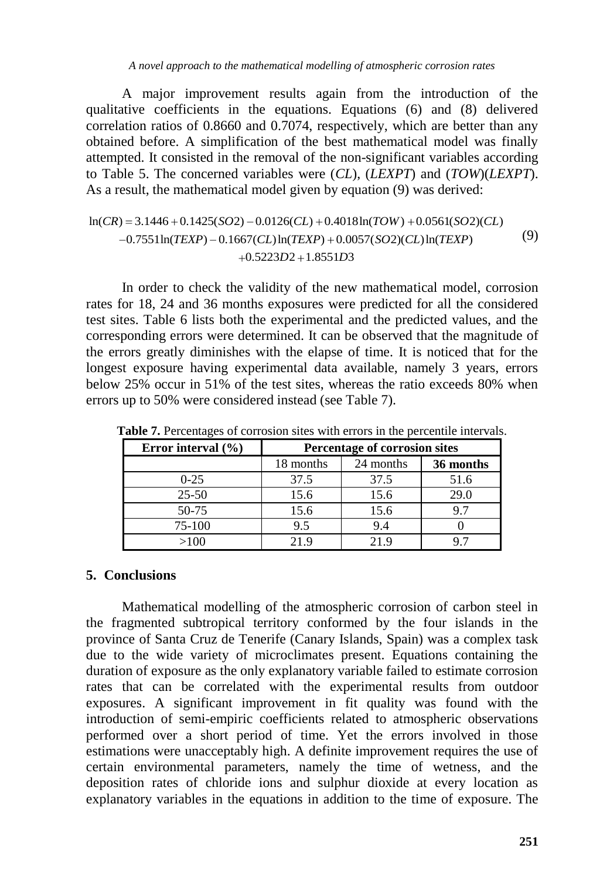*A novel approach to the mathematical modelling of atmospheric corrosion rates* 

A major improvement results again from the introduction of the qualitative coefficients in the equations. Equations (6) and (8) delivered correlation ratios of 0.8660 and 0.7074, respectively, which are better than any obtained before. A simplification of the best mathematical model was finally attempted. It consisted in the removal of the non-significant variables according to Table 5. The concerned variables were (*CL*), (*LEXPT*) and (*TOW*)(*LEXPT*). As a result, the mathematical model given by equation (9) was derived:

## ln(*CR*) = 3.1446 + 0.1425(*SO*2) – 0.0126(*CL*) + 0.4018ln(*TOW*) + 0.0561(*SO*2)(*CL*)<br> $\frac{1}{2}$ (*CR*) = 3.1446 + 0.1425(*SO*2) – 0.0126(*CL*) + 0.4018ln(*TOW*) + 0.0561(*SO*2)(*CL*) suit, the mathematical model given by equation (5) was derived<br>= 3.1446 + 0.1425(*SO*2) – 0.0126(*CL*) + 0.4018ln(*TOW*) + 0.0561(*SO*2)<br>0.7551ln(*TEXP*) – 0.1667(*CL*)ln(*TEXP*) + 0.0057(*SO*2)(*CL*)ln(*TEXP*)  $-0.0126CL) + 0.4018$ <br>77(CL) ln(TEXP) + 0.00<br>0.5223D2 + 1.8551D3  $+0.1425(SO2) - 0.0126(CL) + 0.4018\ln(TOW) + 0.0561(SO\n*TEXP*) - 0.1667(CL)\ln(*TEXP*) + 0.0057(SO2)(CL)\ln(*TEXP*)$ 26(*CL*) + 0.4018ln(*TOW*) + 0.0561(*SO*2)(*CL*)<br>ln(*TEXP*) + 0.0057(*SO*2)(*CL*) ln(*TEXP*)<br>*D*2+1.8551*D*3 (9)

In order to check the validity of the new mathematical model, corrosion rates for 18, 24 and 36 months exposures were predicted for all the considered test sites. Table 6 lists both the experimental and the predicted values, and the corresponding errors were determined. It can be observed that the magnitude of the errors greatly diminishes with the elapse of time. It is noticed that for the longest exposure having experimental data available, namely 3 years, errors below 25% occur in 51% of the test sites, whereas the ratio exceeds 80% when errors up to 50% were considered instead (see Table 7).

| Error interval $(\% )$ |           | Percentage of corrosion sites |           |  |  |  |  |
|------------------------|-----------|-------------------------------|-----------|--|--|--|--|
|                        | 18 months | 24 months                     | 36 months |  |  |  |  |
| $0 - 25$               | 37.5      | 37.5                          | 51.6      |  |  |  |  |
| $25 - 50$              | 15.6      | 15.6                          | 29.0      |  |  |  |  |
| $50-75$                | 15.6      | 15.6                          | 97        |  |  |  |  |
| 75-100                 | 9.5       | 9.4                           |           |  |  |  |  |
| >100                   | 219       | 219                           |           |  |  |  |  |

**Table 7.** Percentages of corrosion sites with errors in the percentile intervals.

### **5. Conclusions**

Mathematical modelling of the atmospheric corrosion of carbon steel in the fragmented subtropical territory conformed by the four islands in the province of Santa Cruz de Tenerife (Canary Islands, Spain) was a complex task due to the wide variety of microclimates present. Equations containing the duration of exposure as the only explanatory variable failed to estimate corrosion rates that can be correlated with the experimental results from outdoor exposures. A significant improvement in fit quality was found with the introduction of semi-empiric coefficients related to atmospheric observations performed over a short period of time. Yet the errors involved in those estimations were unacceptably high. A definite improvement requires the use of certain environmental parameters, namely the time of wetness, and the deposition rates of chloride ions and sulphur dioxide at every location as explanatory variables in the equations in addition to the time of exposure. The